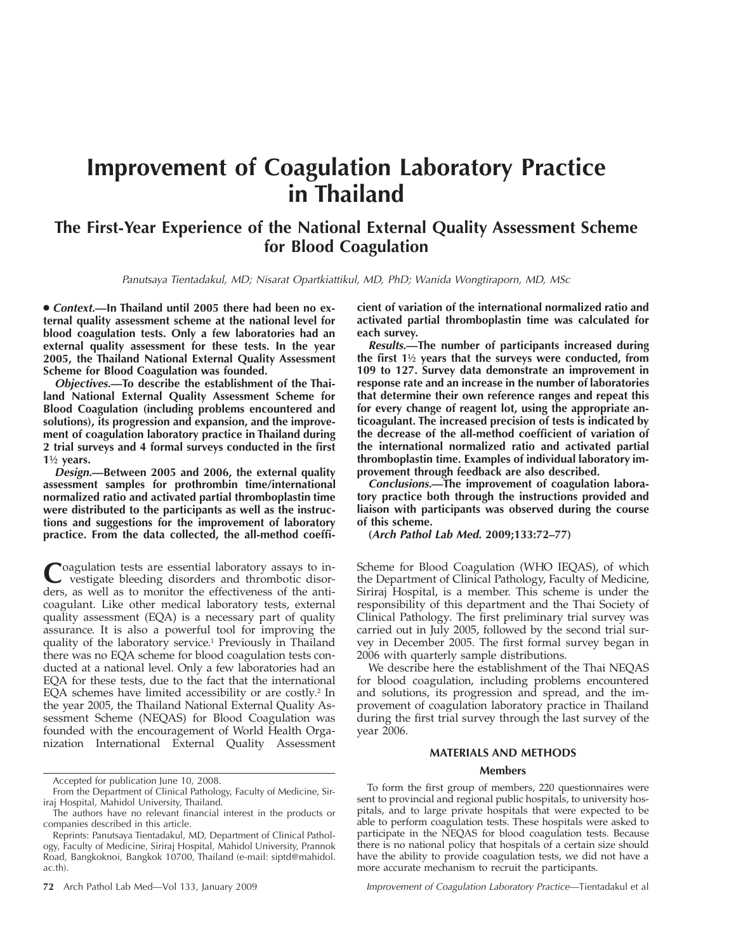# **Improvement of Coagulation Laboratory Practice in Thailand**

# **The First-Year Experience of the National External Quality Assessment Scheme for Blood Coagulation**

*Panutsaya Tientadakul, MD; Nisarat Opartkiattikul, MD, PhD; Wanida Wongtiraporn, MD, MSc*

● *Context.***—In Thailand until 2005 there had been no external quality assessment scheme at the national level for blood coagulation tests. Only a few laboratories had an external quality assessment for these tests. In the year 2005, the Thailand National External Quality Assessment Scheme for Blood Coagulation was founded.**

*Objectives.***—To describe the establishment of the Thailand National External Quality Assessment Scheme for Blood Coagulation (including problems encountered and solutions), its progression and expansion, and the improvement of coagulation laboratory practice in Thailand during 2 trial surveys and 4 formal surveys conducted in the first 1**½ **years.**

*Design.***—Between 2005 and 2006, the external quality assessment samples for prothrombin time/international normalized ratio and activated partial thromboplastin time were distributed to the participants as well as the instructions and suggestions for the improvement of laboratory practice. From the data collected, the all-method coeffi-**

Coagulation tests are essential laboratory assays to in-<br>vestigate bleeding disorders and thrombotic disorders, as well as to monitor the effectiveness of the anticoagulant. Like other medical laboratory tests, external quality assessment (EQA) is a necessary part of quality assurance. It is also a powerful tool for improving the quality of the laboratory service.1 Previously in Thailand there was no EQA scheme for blood coagulation tests conducted at a national level. Only a few laboratories had an EQA for these tests, due to the fact that the international EQA schemes have limited accessibility or are costly.2 In the year 2005, the Thailand National External Quality Assessment Scheme (NEQAS) for Blood Coagulation was founded with the encouragement of World Health Organization International External Quality Assessment

**cient of variation of the international normalized ratio and activated partial thromboplastin time was calculated for each survey.**

*Results.***—The number of participants increased during the first 1**½ **years that the surveys were conducted, from 109 to 127. Survey data demonstrate an improvement in response rate and an increase in the number of laboratories that determine their own reference ranges and repeat this for every change of reagent lot, using the appropriate anticoagulant. The increased precision of tests is indicated by the decrease of the all-method coefficient of variation of the international normalized ratio and activated partial thromboplastin time. Examples of individual laboratory improvement through feedback are also described.**

*Conclusions.***—The improvement of coagulation laboratory practice both through the instructions provided and liaison with participants was observed during the course of this scheme.**

**(***Arch Pathol Lab Med.* **2009;133:72–77)**

Scheme for Blood Coagulation (WHO IEQAS), of which the Department of Clinical Pathology, Faculty of Medicine, Siriraj Hospital, is a member. This scheme is under the responsibility of this department and the Thai Society of Clinical Pathology. The first preliminary trial survey was carried out in July 2005, followed by the second trial survey in December 2005. The first formal survey began in 2006 with quarterly sample distributions.

We describe here the establishment of the Thai NEQAS for blood coagulation, including problems encountered and solutions, its progression and spread, and the improvement of coagulation laboratory practice in Thailand during the first trial survey through the last survey of the year 2006.

# **MATERIALS AND METHODS**

#### **Members**

To form the first group of members, 220 questionnaires were sent to provincial and regional public hospitals, to university hospitals, and to large private hospitals that were expected to be able to perform coagulation tests. These hospitals were asked to participate in the NEQAS for blood coagulation tests. Because there is no national policy that hospitals of a certain size should have the ability to provide coagulation tests, we did not have a more accurate mechanism to recruit the participants.

Accepted for publication June 10, 2008.

From the Department of Clinical Pathology, Faculty of Medicine, Siriraj Hospital, Mahidol University, Thailand.

The authors have no relevant financial interest in the products or companies described in this article.

Reprints: Panutsaya Tientadakul, MD, Department of Clinical Pathology, Faculty of Medicine, Siriraj Hospital, Mahidol University, Prannok Road, Bangkoknoi, Bangkok 10700, Thailand (e-mail: siptd@mahidol. ac.th).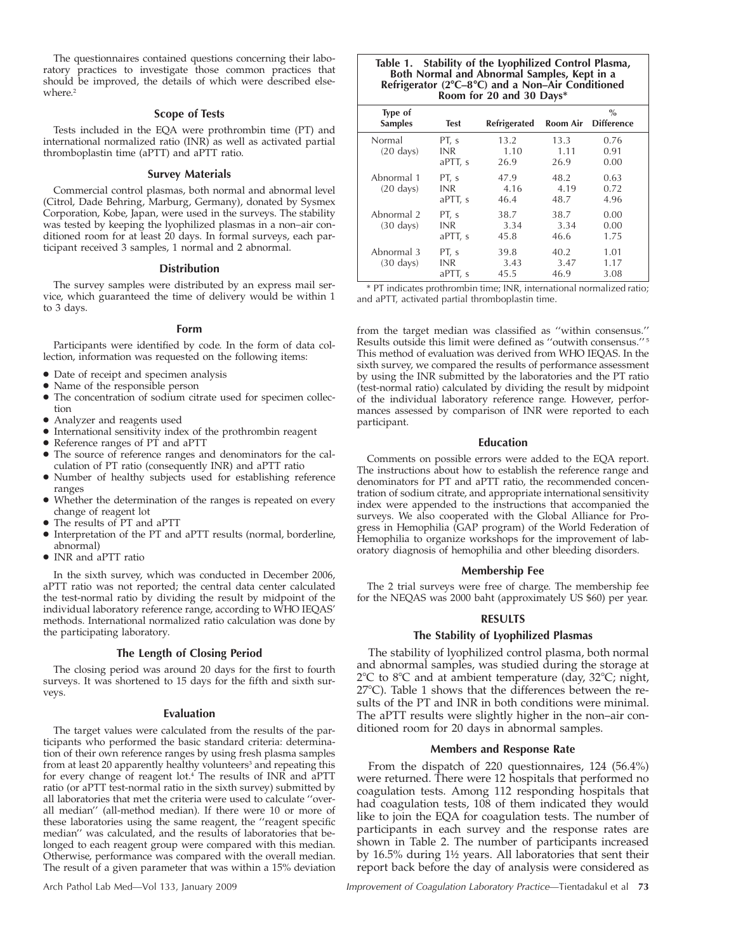The questionnaires contained questions concerning their laboratory practices to investigate those common practices that should be improved, the details of which were described elsewhere.<sup>2</sup>

# **Scope of Tests**

Tests included in the EQA were prothrombin time (PT) and international normalized ratio (INR) as well as activated partial thromboplastin time (aPTT) and aPTT ratio.

#### **Survey Materials**

Commercial control plasmas, both normal and abnormal level (Citrol, Dade Behring, Marburg, Germany), donated by Sysmex Corporation, Kobe, Japan, were used in the surveys. The stability was tested by keeping the lyophilized plasmas in a non–air conditioned room for at least 20 days. In formal surveys, each participant received 3 samples, 1 normal and 2 abnormal.

#### **Distribution**

The survey samples were distributed by an express mail service, which guaranteed the time of delivery would be within 1 to 3 days.

#### **Form**

Participants were identified by code. In the form of data collection, information was requested on the following items:

- Date of receipt and specimen analysis
- Name of the responsible person
- The concentration of sodium citrate used for specimen collection
- Analyzer and reagents used
- International sensitivity index of the prothrombin reagent
- Reference ranges of PT and aPTT
- The source of reference ranges and denominators for the calculation of PT ratio (consequently INR) and aPTT ratio
- Number of healthy subjects used for establishing reference ranges
- Whether the determination of the ranges is repeated on every change of reagent lot
- The results of PT and aPTT
- Interpretation of the PT and aPTT results (normal, borderline, abnormal)
- INR and aPTT ratio

In the sixth survey, which was conducted in December 2006, aPTT ratio was not reported; the central data center calculated the test-normal ratio by dividing the result by midpoint of the individual laboratory reference range, according to WHO IEQAS' methods. International normalized ratio calculation was done by the participating laboratory.

# **The Length of Closing Period**

The closing period was around 20 days for the first to fourth surveys. It was shortened to 15 days for the fifth and sixth surveys.

#### **Evaluation**

The target values were calculated from the results of the participants who performed the basic standard criteria: determination of their own reference ranges by using fresh plasma samples from at least 20 apparently healthy volunteers<sup>3</sup> and repeating this for every change of reagent lot.4 The results of INR and aPTT ratio (or aPTT test-normal ratio in the sixth survey) submitted by all laboratories that met the criteria were used to calculate ''overall median'' (all-method median). If there were 10 or more of these laboratories using the same reagent, the ''reagent specific median'' was calculated, and the results of laboratories that belonged to each reagent group were compared with this median. Otherwise, performance was compared with the overall median. The result of a given parameter that was within a 15% deviation

#### **Table 1. Stability of the Lyophilized Control Plasma, Both Normal and Abnormal Samples, Kept in a** Refrigerator (2°C-8°C) and a Non-Air Conditioned **Room for 20 and 30 Days\***

| Type of<br><b>Samples</b>         | <b>Test</b>                    | Refrigerated         |                      | $\frac{0}{0}$<br><b>Room Air</b> Difference |
|-----------------------------------|--------------------------------|----------------------|----------------------|---------------------------------------------|
| Normal<br>$(20 \text{ days})$     | PT, s<br><b>INR</b><br>aPTT, s | 13.2<br>1.10<br>26.9 | 13.3<br>1.11<br>26.9 | 0.76<br>0.91<br>0.00                        |
| Abnormal 1<br>$(20 \text{ days})$ | PT, s<br><b>INR</b><br>aPTT, s | 47.9<br>4.16<br>46.4 | 48.2<br>4.19<br>48.7 | 0.63<br>0.72<br>4.96                        |
| Abnormal 2<br>$(30 \text{ days})$ | PT, s<br><b>INR</b><br>aPTT, s | 38.7<br>3.34<br>45.8 | 38.7<br>3.34<br>46.6 | 0.00<br>0.00<br>1.75                        |
| Abnormal 3<br>$(30 \text{ days})$ | PT, s<br><b>INR</b><br>aPTT, s | 39.8<br>3.43<br>45.5 | 40.2<br>3.47<br>46.9 | 1.01<br>1.17<br>3.08                        |

\* PT indicates prothrombin time; INR, international normalized ratio; and aPTT, activated partial thromboplastin time.

from the target median was classified as ''within consensus.'' Results outside this limit were defined as ''outwith consensus.'' <sup>5</sup> This method of evaluation was derived from WHO IEQAS. In the sixth survey, we compared the results of performance assessment by using the INR submitted by the laboratories and the PT ratio (test-normal ratio) calculated by dividing the result by midpoint of the individual laboratory reference range. However, performances assessed by comparison of INR were reported to each participant.

#### **Education**

Comments on possible errors were added to the EQA report. The instructions about how to establish the reference range and denominators for PT and aPTT ratio, the recommended concentration of sodium citrate, and appropriate international sensitivity index were appended to the instructions that accompanied the surveys. We also cooperated with the Global Alliance for Progress in Hemophilia (GAP program) of the World Federation of Hemophilia to organize workshops for the improvement of laboratory diagnosis of hemophilia and other bleeding disorders.

#### **Membership Fee**

The 2 trial surveys were free of charge. The membership fee for the NEQAS was 2000 baht (approximately US \$60) per year.

# **RESULTS**

# **The Stability of Lyophilized Plasmas**

The stability of lyophilized control plasma, both normal and abnormal samples, was studied during the storage at 2°C to 8°C and at ambient temperature (day, 32°C; night, 27°C). Table 1 shows that the differences between the results of the PT and INR in both conditions were minimal. The aPTT results were slightly higher in the non–air conditioned room for 20 days in abnormal samples.

## **Members and Response Rate**

From the dispatch of 220 questionnaires, 124 (56.4%) were returned. There were 12 hospitals that performed no coagulation tests. Among 112 responding hospitals that had coagulation tests, 108 of them indicated they would like to join the EQA for coagulation tests. The number of participants in each survey and the response rates are shown in Table 2. The number of participants increased by 16.5% during 1½ years. All laboratories that sent their report back before the day of analysis were considered as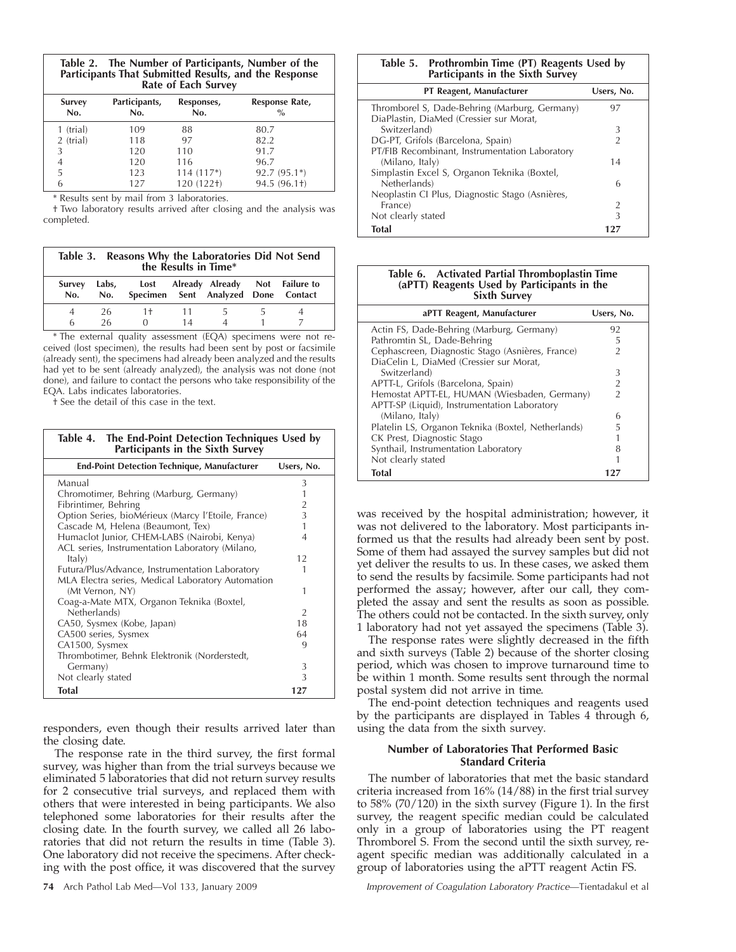| The Number of Participants, Number of the<br>Table 2. |
|-------------------------------------------------------|
| Participants That Submitted Results, and the Response |
| Rate of Each Survey                                   |

| Survey<br>No. | Participants,<br>No. | Responses,<br>No. | Response Rate,<br>$\%$ |
|---------------|----------------------|-------------------|------------------------|
| 1 (trial)     | 109                  | 88                | 80.7                   |
| 2 (trial)     | 118                  | 97                | 82.2                   |
| 3             | 120                  | 110               | 91.7                   |
| 4             | 120                  | 116               | 96.7                   |
| 5             | 123                  | $114(117*)$       | $92.7(95.1*)$          |
| 6             | 127                  | 120 (122+)        | 94.5 (96.1+)           |

\* Results sent by mail from 3 laboratories.

† Two laboratory results arrived after closing and the analysis was completed.

|               | Table 3. Reasons Why the Laboratories Did Not Send<br>the Results in Time* |                                                                                  |            |               |  |  |
|---------------|----------------------------------------------------------------------------|----------------------------------------------------------------------------------|------------|---------------|--|--|
| Survey<br>No. | No.                                                                        | Labs, Lost Already Already Not Failure to<br>Specimen Sent Analyzed Done Contact |            |               |  |  |
| 6             | 26<br>26                                                                   | $1+$<br>0                                                                        | -11-<br>14 | $\rightarrow$ |  |  |

\* The external quality assessment (EQA) specimens were not received (lost specimen), the results had been sent by post or facsimile (already sent), the specimens had already been analyzed and the results had yet to be sent (already analyzed), the analysis was not done (not done), and failure to contact the persons who take responsibility of the EQA. Labs indicates laboratories.

† See the detail of this case in the text.

| Table 4. The End-Point Detection Techniques Used by<br>Participants in the Sixth Survey |                |
|-----------------------------------------------------------------------------------------|----------------|
| <b>End-Point Detection Technique, Manufacturer</b>                                      | Users, No.     |
| Manual                                                                                  | 3              |
| Chromotimer, Behring (Marburg, Germany)                                                 | 1              |
| Fibrintimer, Behring                                                                    | $\overline{2}$ |
| Option Series, bioMérieux (Marcy l'Etoile, France)                                      | $\overline{3}$ |
| Cascade M, Helena (Beaumont, Tex)                                                       | 1              |
| Humaclot Junior, CHEM-LABS (Nairobi, Kenya)                                             | 4              |
| ACL series, Instrumentation Laboratory (Milano,                                         |                |
| ltalv)                                                                                  | 12             |
| Futura/Plus/Advance, Instrumentation Laboratory                                         | 1              |
| MLA Electra series, Medical Laboratory Automation                                       |                |
| (Mt Vernon, NY)                                                                         | 1              |
| Coag-a-Mate MTX, Organon Teknika (Boxtel,                                               |                |
| Netherlands)                                                                            | $\overline{2}$ |
| CA50, Sysmex (Kobe, Japan)                                                              | 18             |
| CA500 series, Sysmex                                                                    | 64             |
| CA1500, Sysmex                                                                          | 9              |
| Thrombotimer, Behnk Elektronik (Norderstedt,                                            |                |
| Germany)                                                                                | 3              |
| Not clearly stated                                                                      | 3              |
| <b>Total</b>                                                                            | 127            |

responders, even though their results arrived later than the closing date.

The response rate in the third survey, the first formal survey, was higher than from the trial surveys because we eliminated 5 laboratories that did not return survey results for 2 consecutive trial surveys, and replaced them with others that were interested in being participants. We also telephoned some laboratories for their results after the closing date. In the fourth survey, we called all 26 laboratories that did not return the results in time (Table 3). One laboratory did not receive the specimens. After checking with the post office, it was discovered that the survey

# **Table 5. Prothrombin Time (PT) Reagents Used by Participants in the Sixth Survey**

| PT Reagent, Manufacturer                        | Users, No.    |
|-------------------------------------------------|---------------|
| Thromborel S, Dade-Behring (Marburg, Germany)   | 97            |
| DiaPlastin, DiaMed (Cressier sur Morat,         |               |
| Switzerland)                                    |               |
| DG-PT, Grifols (Barcelona, Spain)               | $\mathcal{P}$ |
| PT/FIB Recombinant, Instrumentation Laboratory  |               |
| (Milano, Italy)                                 | 14            |
| Simplastin Excel S, Organon Teknika (Boxtel,    |               |
| Netherlands)                                    | 6             |
| Neoplastin CI Plus, Diagnostic Stago (Asnières, |               |
| France)                                         | 2             |
| Not clearly stated                              | 3             |
| Total                                           |               |

## **Table 6. Activated Partial Thromboplastin Time (aPTT) Reagents Used by Participants in the Sixth Survey**

| aPTT Reagent, Manufacturer                         | Users, No.     |
|----------------------------------------------------|----------------|
| Actin FS, Dade-Behring (Marburg, Germany)          | 92             |
| Pathromtin SL, Dade-Behring                        | 5              |
| Cephascreen, Diagnostic Stago (Asnières, France)   | $\overline{2}$ |
| DiaCelin L, DiaMed (Cressier sur Morat,            |                |
| Switzerland)                                       | 3              |
| APTT-L, Grifols (Barcelona, Spain)                 | $\overline{2}$ |
| Hemostat APTT-EL, HUMAN (Wiesbaden, Germany)       | $\mathfrak{D}$ |
| APTT-SP (Liquid), Instrumentation Laboratory       |                |
| (Milano, Italy)                                    | 6              |
| Platelin LS, Organon Teknika (Boxtel, Netherlands) | 5              |
| CK Prest, Diagnostic Stago                         |                |
| Synthail, Instrumentation Laboratory               | 8              |
| Not clearly stated                                 |                |
| <b>Total</b>                                       |                |

was received by the hospital administration; however, it was not delivered to the laboratory. Most participants informed us that the results had already been sent by post. Some of them had assayed the survey samples but did not yet deliver the results to us. In these cases, we asked them to send the results by facsimile. Some participants had not performed the assay; however, after our call, they completed the assay and sent the results as soon as possible. The others could not be contacted. In the sixth survey, only 1 laboratory had not yet assayed the specimens (Table 3).

The response rates were slightly decreased in the fifth and sixth surveys (Table 2) because of the shorter closing period, which was chosen to improve turnaround time to be within 1 month. Some results sent through the normal postal system did not arrive in time.

The end-point detection techniques and reagents used by the participants are displayed in Tables 4 through 6, using the data from the sixth survey.

# **Number of Laboratories That Performed Basic Standard Criteria**

The number of laboratories that met the basic standard criteria increased from 16% (14/88) in the first trial survey to 58% (70/120) in the sixth survey (Figure 1). In the first survey, the reagent specific median could be calculated only in a group of laboratories using the PT reagent Thromborel S. From the second until the sixth survey, reagent specific median was additionally calculated in a group of laboratories using the aPTT reagent Actin FS.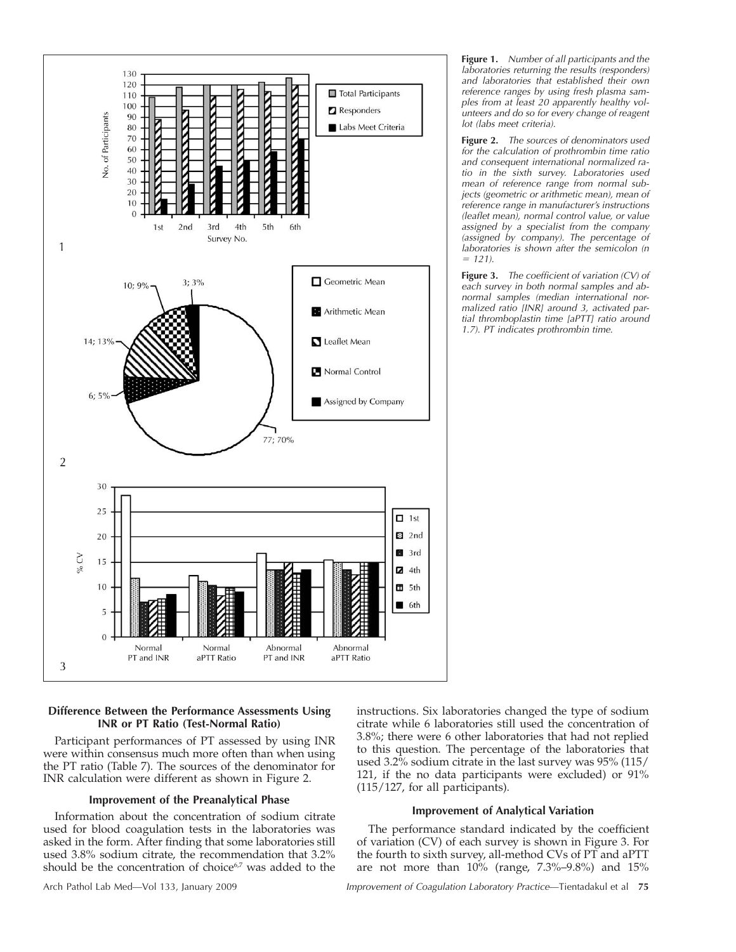

# **Difference Between the Performance Assessments Using INR or PT Ratio (Test-Normal Ratio)**

Participant performances of PT assessed by using INR were within consensus much more often than when using the PT ratio (Table 7). The sources of the denominator for INR calculation were different as shown in Figure 2.

# **Improvement of the Preanalytical Phase**

Information about the concentration of sodium citrate used for blood coagulation tests in the laboratories was asked in the form. After finding that some laboratories still used 3.8% sodium citrate, the recommendation that 3.2% should be the concentration of choice<sup>6,7</sup> was added to the instructions. Six laboratories changed the type of sodium citrate while 6 laboratories still used the concentration of 3.8%; there were 6 other laboratories that had not replied to this question. The percentage of the laboratories that used 3.2% sodium citrate in the last survey was 95% (115/ 121, if the no data participants were excluded) or 91% (115/127, for all participants).

# **Improvement of Analytical Variation**

The performance standard indicated by the coefficient of variation (CV) of each survey is shown in Figure 3. For the fourth to sixth survey, all-method CVs of PT and aPTT are not more than  $10\%$  (range,  $7.3\%$ -9.8%) and  $15\%$ 

**Figure 1.** *Number of all participants and the laboratories returning the results (responders) and laboratories that established their own reference ranges by using fresh plasma samples from at least 20 apparently healthy volunteers and do so for every change of reagent lot (labs meet criteria).*

**Figure 2.** *The sources of denominators used for the calculation of prothrombin time ratio and consequent international normalized ratio in the sixth survey. Laboratories used mean of reference range from normal subjects (geometric or arithmetic mean), mean of reference range in manufacturer's instructions (leaflet mean), normal control value, or value assigned by a specialist from the company (assigned by company). The percentage of laboratories is shown after the semicolon (n 121).*

**Figure 3.** *The coefficient of variation (CV) of each survey in both normal samples and abnormal samples (median international normalized ratio [INR] around 3, activated partial thromboplastin time [aPTT] ratio around 1.7). PT indicates prothrombin time.*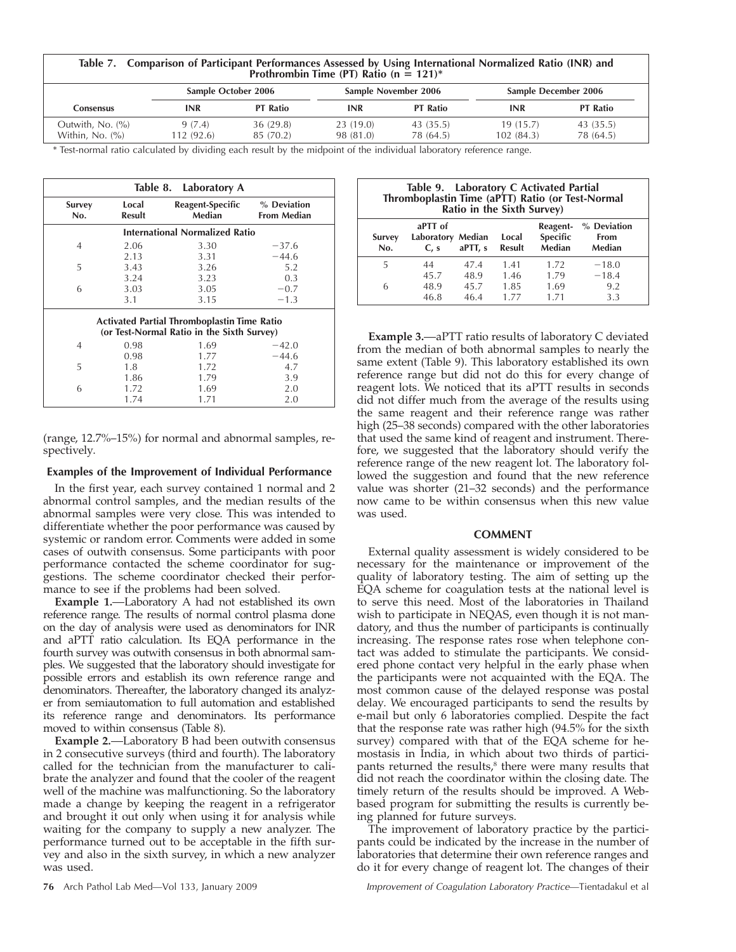| Table 7. Comparison of Participant Performances Assessed by Using International Normalized Ratio (INR) and<br>Prothrombin Time (PT) Ratio (n = 121)* |
|------------------------------------------------------------------------------------------------------------------------------------------------------|
|                                                                                                                                                      |

|                                       | Sample October 2006<br>Sample November 2006 |                       |                       | <b>Sample December 2006</b> |                       |                        |
|---------------------------------------|---------------------------------------------|-----------------------|-----------------------|-----------------------------|-----------------------|------------------------|
| Consensus                             | INR                                         | <b>PT Ratio</b>       | INR                   | <b>PT Ratio</b>             | <b>INR</b>            | <b>PT Ratio</b>        |
| Outwith, No. (%)<br>Within, $No. (%)$ | 9(7.4)<br>112 (92.6)                        | 36(29.8)<br>85 (70.2) | 23(19.0)<br>98 (81.0) | 43(35.5)<br>78 (64.5)       | 19(15.7)<br>102(84.3) | 43 (35.5)<br>78 (64.5) |

\* Test-normal ratio calculated by dividing each result by the midpoint of the individual laboratory reference range.

| Table 8. Laboratory A |                                                                                                  |                                       |                                   |  |  |  |
|-----------------------|--------------------------------------------------------------------------------------------------|---------------------------------------|-----------------------------------|--|--|--|
| Survey<br>No.         | Local<br><b>Result</b>                                                                           | Reagent-Specific<br>Median            | % Deviation<br><b>From Median</b> |  |  |  |
|                       |                                                                                                  | <b>International Normalized Ratio</b> |                                   |  |  |  |
| 4                     | 2.06                                                                                             | 3.30                                  | $-37.6$                           |  |  |  |
|                       | 2.13                                                                                             | 3.31                                  | $-44.6$                           |  |  |  |
| 5                     | 3.43                                                                                             | 3.26                                  | 5.2                               |  |  |  |
|                       | 3.24                                                                                             | 3.23                                  | 0.3                               |  |  |  |
| 6                     | 3.03                                                                                             | 3.05                                  | $-0.7$                            |  |  |  |
|                       | 3.1                                                                                              | 3.15                                  | $-1.3$                            |  |  |  |
|                       | <b>Activated Partial Thromboplastin Time Ratio</b><br>(or Test-Normal Ratio in the Sixth Survey) |                                       |                                   |  |  |  |
| 4                     | 0.98                                                                                             | 1.69                                  | $-42.0$                           |  |  |  |
|                       | 0.98                                                                                             | 1.77                                  | $-44.6$                           |  |  |  |
| 5                     | 1.8                                                                                              | 1.72                                  | 4.7                               |  |  |  |
|                       | 1.86                                                                                             | 1.79                                  | 3.9                               |  |  |  |
| 6                     | 1.72                                                                                             | 1.69                                  | 2.0                               |  |  |  |
|                       | 1.74                                                                                             | 1.71                                  | 2.0                               |  |  |  |

(range, 12.7%–15%) for normal and abnormal samples, respectively.

# **Examples of the Improvement of Individual Performance**

In the first year, each survey contained 1 normal and 2 abnormal control samples, and the median results of the abnormal samples were very close. This was intended to differentiate whether the poor performance was caused by systemic or random error. Comments were added in some cases of outwith consensus. Some participants with poor performance contacted the scheme coordinator for suggestions. The scheme coordinator checked their performance to see if the problems had been solved.

Example 1.-Laboratory A had not established its own reference range. The results of normal control plasma done on the day of analysis were used as denominators for INR and aPTT ratio calculation. Its EQA performance in the fourth survey was outwith consensus in both abnormal samples. We suggested that the laboratory should investigate for possible errors and establish its own reference range and denominators. Thereafter, the laboratory changed its analyzer from semiautomation to full automation and established its reference range and denominators. Its performance moved to within consensus (Table 8).

**Example 2.** - Laboratory B had been outwith consensus in 2 consecutive surveys (third and fourth). The laboratory called for the technician from the manufacturer to calibrate the analyzer and found that the cooler of the reagent well of the machine was malfunctioning. So the laboratory made a change by keeping the reagent in a refrigerator and brought it out only when using it for analysis while waiting for the company to supply a new analyzer. The performance turned out to be acceptable in the fifth survey and also in the sixth survey, in which a new analyzer was used.

| Table 9. Laboratory C Activated Partial<br>Thromboplastin Time (aPTT) Ratio (or Test-Normal<br>Ratio in the Sixth Survey) |                                      |         |                        |                                       |                                      |
|---------------------------------------------------------------------------------------------------------------------------|--------------------------------------|---------|------------------------|---------------------------------------|--------------------------------------|
| Survey<br>No.                                                                                                             | aPTT of<br>Laboratory Median<br>C. s | aPTT, s | Local<br><b>Result</b> | Reagent-<br><b>Specific</b><br>Median | % Deviation<br><b>From</b><br>Median |
| 5                                                                                                                         | 44                                   | 47.4    | 1.41                   | 1.72                                  | $-18.0$                              |
|                                                                                                                           | 45.7                                 | 48.9    | 1.46                   | 1.79                                  | $-18.4$                              |
| 6                                                                                                                         | 48.9                                 | 45.7    | 1.85                   | 1.69                                  | 9.2                                  |
|                                                                                                                           | 46.8                                 | 46.4    | 1.77                   | 1.71                                  | 3.3                                  |

**Example 3.** aPTT ratio results of laboratory C deviated from the median of both abnormal samples to nearly the same extent (Table 9). This laboratory established its own reference range but did not do this for every change of reagent lots. We noticed that its aPTT results in seconds did not differ much from the average of the results using the same reagent and their reference range was rather high (25–38 seconds) compared with the other laboratories that used the same kind of reagent and instrument. Therefore, we suggested that the laboratory should verify the reference range of the new reagent lot. The laboratory followed the suggestion and found that the new reference value was shorter (21–32 seconds) and the performance now came to be within consensus when this new value was used.

# **COMMENT**

External quality assessment is widely considered to be necessary for the maintenance or improvement of the quality of laboratory testing. The aim of setting up the EQA scheme for coagulation tests at the national level is to serve this need. Most of the laboratories in Thailand wish to participate in NEQAS, even though it is not mandatory, and thus the number of participants is continually increasing. The response rates rose when telephone contact was added to stimulate the participants. We considered phone contact very helpful in the early phase when the participants were not acquainted with the EQA. The most common cause of the delayed response was postal delay. We encouraged participants to send the results by e-mail but only 6 laboratories complied. Despite the fact that the response rate was rather high (94.5% for the sixth survey) compared with that of the EQA scheme for hemostasis in India, in which about two thirds of participants returned the results, $8$  there were many results that did not reach the coordinator within the closing date. The timely return of the results should be improved. A Webbased program for submitting the results is currently being planned for future surveys.

The improvement of laboratory practice by the participants could be indicated by the increase in the number of laboratories that determine their own reference ranges and do it for every change of reagent lot. The changes of their